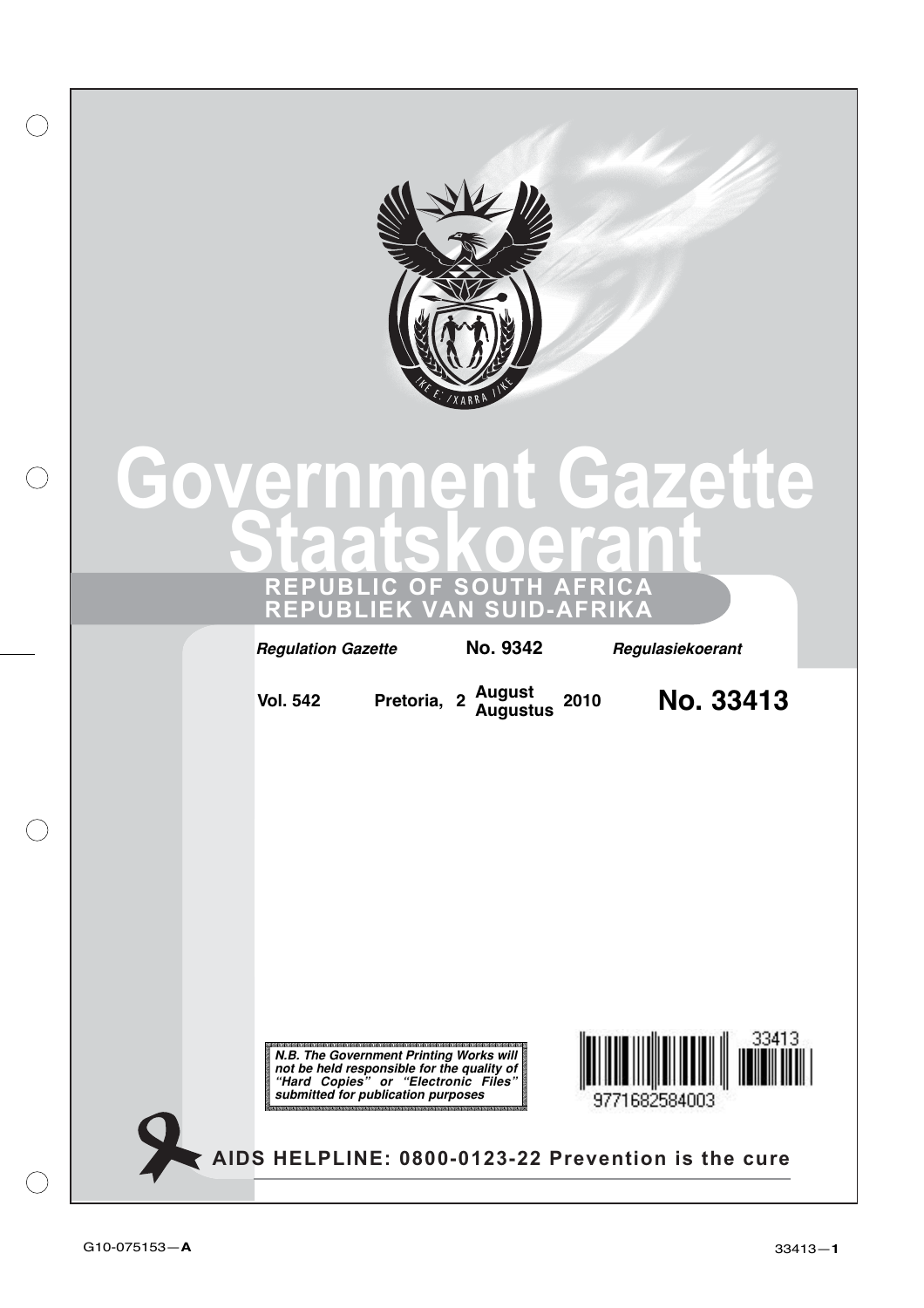

# **Government Gazette Staatskoerant**

**REPUBLIC OF SOUTH AFRICA REPUBLIEK VAN SUID-AFRIKA**

**Regulation Gazette No. 9342 Regulasiekoerant <sup>2</sup> No. 33413 August Augustus Vol. 542 Pretoria, <sup>2010</sup>** 33413 **N.B. The Government Printing Works will not be held responsible for the quality of "Hard Copies" or "Electronic Files" submitted for publication purposes**9771682584003 **AIDS HELPLINE: 0800-0123-22 Prevention is the cure**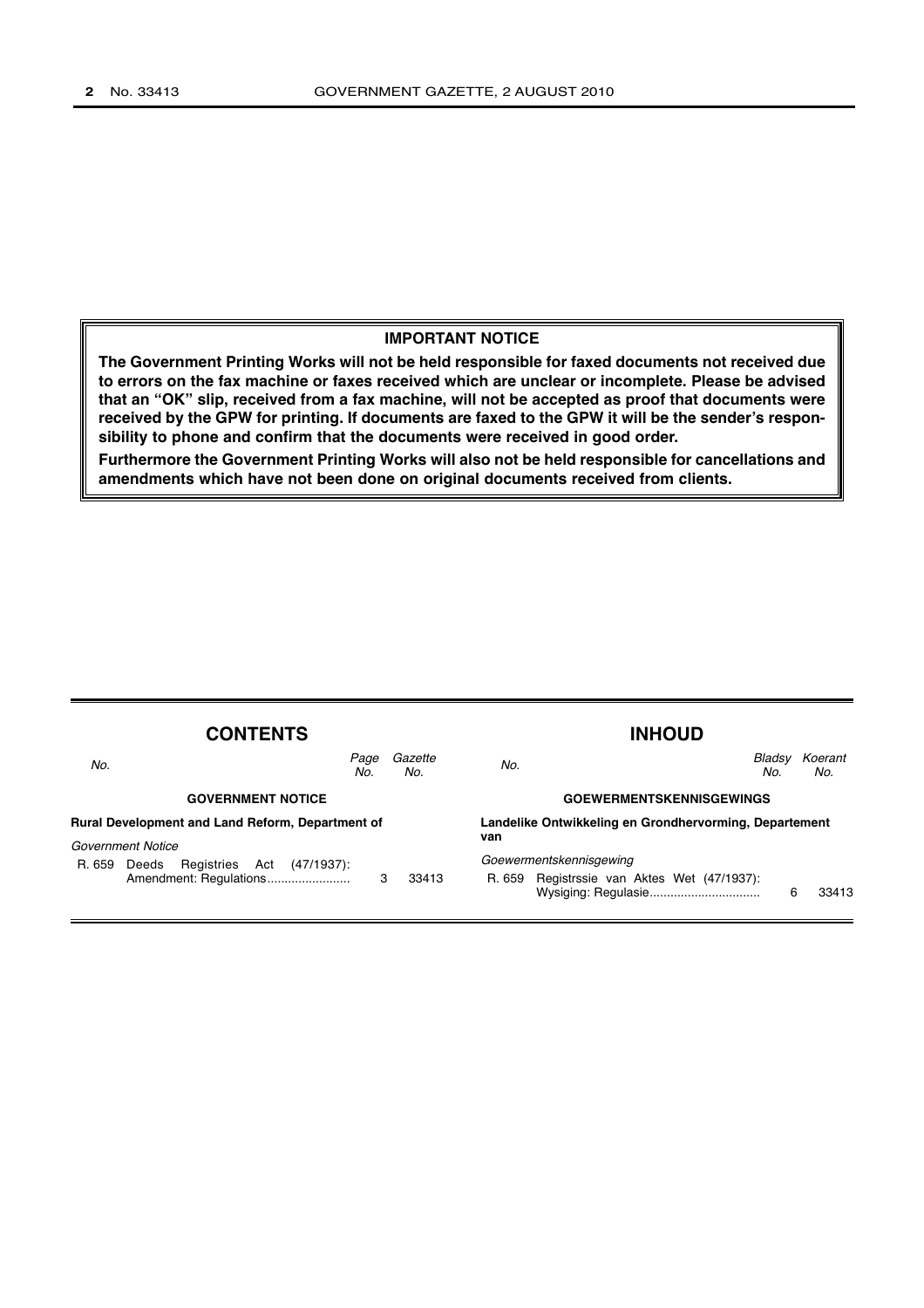#### **IMPORTANT NOTICE**

**The Government Printing Works will not be held responsible for faxed documents not received due to errors on the fax machine or faxes received which are unclear or incomplete. Please be advised that an "OK" slip, received from a fax machine, will not be accepted as proof that documents were received by the GPW for printing. If documents are faxed to the GPW it will be the sender's responsibility to phone and confirm that the documents were received in good order.**

**Furthermore the Government Printing Works will also not be held responsible for cancellations and amendments which have not been done on original documents received from clients.**

| <b>CONTENTS</b>                                         |                                          |   |                                 | <b>INHOUD</b>                                          |                                             |   |                |
|---------------------------------------------------------|------------------------------------------|---|---------------------------------|--------------------------------------------------------|---------------------------------------------|---|----------------|
| No.                                                     | Page<br>No.                              |   | Gazette<br>No.                  | No.                                                    | Bladsv<br>No.                               |   | Koerant<br>No. |
|                                                         | <b>GOVERNMENT NOTICE</b>                 |   | <b>GOEWERMENTSKENNISGEWINGS</b> |                                                        |                                             |   |                |
| <b>Rural Development and Land Reform, Department of</b> |                                          |   |                                 | Landelike Ontwikkeling en Grondhervorming, Departement |                                             |   |                |
|                                                         | <b>Government Notice</b>                 |   |                                 | van                                                    |                                             |   |                |
| R. 659                                                  | (47/1937):<br>Registries<br>Act<br>Deeds |   |                                 |                                                        | Goewermentskennisgewing                     |   |                |
|                                                         | Amendment: Regulations                   | 3 | 33413                           |                                                        | R. 659 Registrssie van Aktes Wet (47/1937): | 6 | 33413          |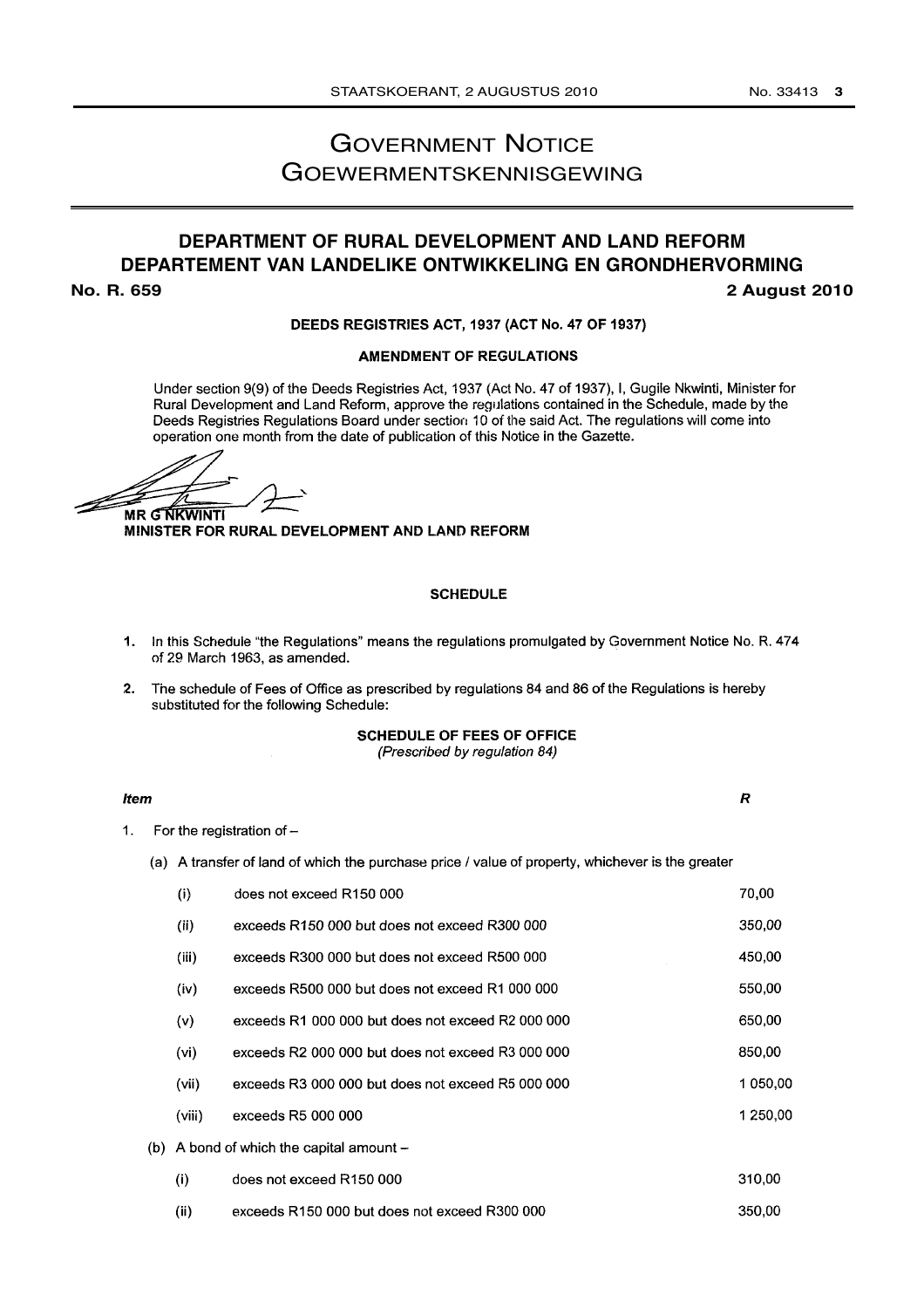## GOVERNMENT NOTICE GOEWERMENTSKENNISGEWING

## **DEPARTMENT OF RURAL DEVELOPMENT AND LAND REFORM DEPARTEMENT VAN LANDELIKE ONTWIKKELING EN GRONDHERVORMING No. R. 659 2 August 2010**

#### DEEDS REGISTRIES ACT, 1937 (ACT No. 47 OF 1937)

#### **AMENDMENT OF REGULATIONS**

Under section 9(9) of the Deeds Registries Act, 1937 (Act No. 47 of 1937), I, Gugile Nkwinti, Minister for Rural Development and Land Reform, approve the regulations contained in the Schedule, made by the Deeds Registries Regulations Board under section 10 of the said Act. The regulations will come into operation one month from the date of publication of this Notice in the Gazette.

**MR G NKWINTI** 

MINISTER FOR RURAL DEVELOPMENT AND LAND REFORM

#### **SCHEDULE**

- 1. In this Schedule "the Regulations" means the regulations promulgated by Government Notice No. R. 474 of 29 March 1963, as amended.
- 2. The schedule of Fees of Office as prescribed by regulations 84 and 86 of the Regulations is hereby substituted for the following Schedule:

**SCHEDULE OF FEES OF OFFICE** (Prescribed by regulation 84)

#### **Item**

 $\overline{R}$ 

 $1.$ For the registration of  $-$ 

(a) A transfer of land of which the purchase price / value of property, whichever is the greater

| (i)    | does not exceed R150 000                          | 70,00    |
|--------|---------------------------------------------------|----------|
| (ii)   | exceeds R150 000 but does not exceed R300 000     | 350,00   |
| (iii)  | exceeds R300 000 but does not exceed R500 000     | 450,00   |
| (iv)   | exceeds R500 000 but does not exceed R1 000 000   | 550,00   |
| (v)    | exceeds R1 000 000 but does not exceed R2 000 000 | 650.00   |
| (vi)   | exceeds R2 000 000 but does not exceed R3 000 000 | 850,00   |
| (vii)  | exceeds R3 000 000 but does not exceed R5 000 000 | 1 050,00 |
| (viii) | exceeds R5 000 000                                | 1 250,00 |
|        | (b) A bond of which the capital amount $-$        |          |
| (i)    | does not exceed R150 000                          | 310,00   |
| (ii)   | exceeds R150 000 but does not exceed R300 000     | 350.00   |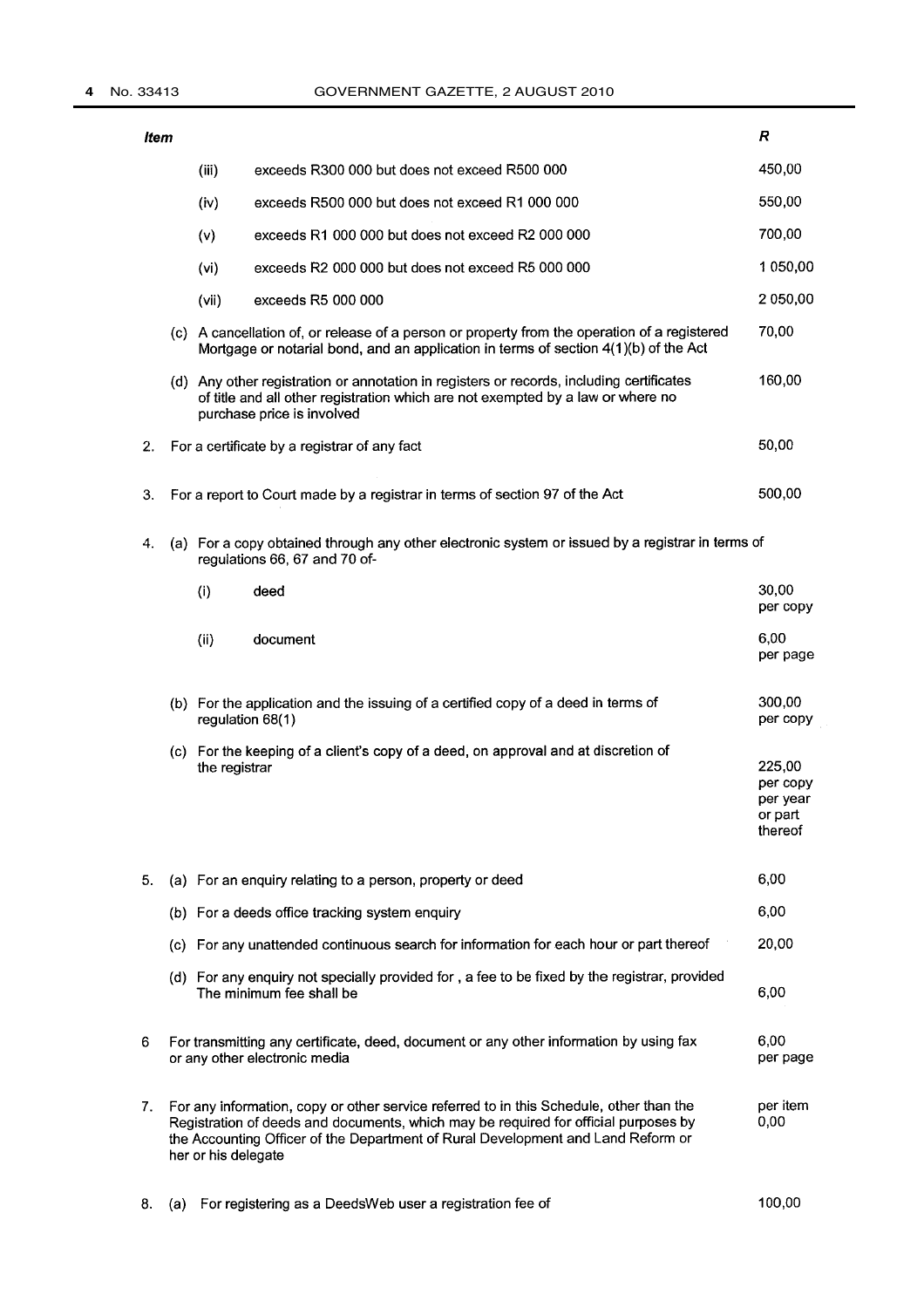#### **4** No. 33413 GOVERNMENT GAZETTE, 2 AUGUST 2010

| ltem |                     |                                                                                                                                                                                                                                                                    | R                                                    |
|------|---------------------|--------------------------------------------------------------------------------------------------------------------------------------------------------------------------------------------------------------------------------------------------------------------|------------------------------------------------------|
|      | (iii)               | exceeds R300 000 but does not exceed R500 000                                                                                                                                                                                                                      | 450,00                                               |
|      | (iv)                | exceeds R500 000 but does not exceed R1 000 000                                                                                                                                                                                                                    | 550,00                                               |
|      | (v)                 | exceeds R1 000 000 but does not exceed R2 000 000                                                                                                                                                                                                                  | 700,00                                               |
|      | (vi)                | exceeds R2 000 000 but does not exceed R5 000 000                                                                                                                                                                                                                  | 1 050,00                                             |
|      | (vii)               | exceeds R5 000 000                                                                                                                                                                                                                                                 | 2 050,00                                             |
|      |                     | (c) A cancellation of, or release of a person or property from the operation of a registered<br>Mortgage or notarial bond, and an application in terms of section 4(1)(b) of the Act                                                                               | 70,00                                                |
|      |                     | (d) Any other registration or annotation in registers or records, including certificates<br>of title and all other registration which are not exempted by a law or where no<br>purchase price is involved                                                          | 160,00                                               |
| 2.   |                     | For a certificate by a registrar of any fact                                                                                                                                                                                                                       | 50,00                                                |
| 3.   |                     | For a report to Court made by a registrar in terms of section 97 of the Act                                                                                                                                                                                        | 500,00                                               |
| 4.   |                     | (a) For a copy obtained through any other electronic system or issued by a registrar in terms of<br>regulations 66, 67 and 70 of-                                                                                                                                  |                                                      |
|      | (i)                 | deed                                                                                                                                                                                                                                                               | 30,00<br>per copy                                    |
|      | (ii)                | document                                                                                                                                                                                                                                                           | 6.00<br>per page                                     |
|      |                     | (b) For the application and the issuing of a certified copy of a deed in terms of<br>regulation 68(1)                                                                                                                                                              | 300,00<br>per copy                                   |
|      | the registrar       | (c) For the keeping of a client's copy of a deed, on approval and at discretion of                                                                                                                                                                                 | 225,00<br>per copy<br>per year<br>or part<br>thereof |
| 5.   |                     | (a) For an enquiry relating to a person, property or deed                                                                                                                                                                                                          | 6,00                                                 |
|      |                     | (b) For a deeds office tracking system enquiry                                                                                                                                                                                                                     | 6,00                                                 |
|      |                     | (c) For any unattended continuous search for information for each hour or part thereof                                                                                                                                                                             | 20,00                                                |
|      |                     | (d) For any enquiry not specially provided for, a fee to be fixed by the registrar, provided<br>The minimum fee shall be                                                                                                                                           | 6,00                                                 |
| 6    |                     | For transmitting any certificate, deed, document or any other information by using fax<br>or any other electronic media                                                                                                                                            | 6,00<br>per page                                     |
| 7.   | her or his delegate | For any information, copy or other service referred to in this Schedule, other than the<br>Registration of deeds and documents, which may be required for official purposes by<br>the Accounting Officer of the Department of Rural Development and Land Reform or | per item<br>0,00                                     |

100,00 8. (a) For registering as a DeedsWeb user a registration fee of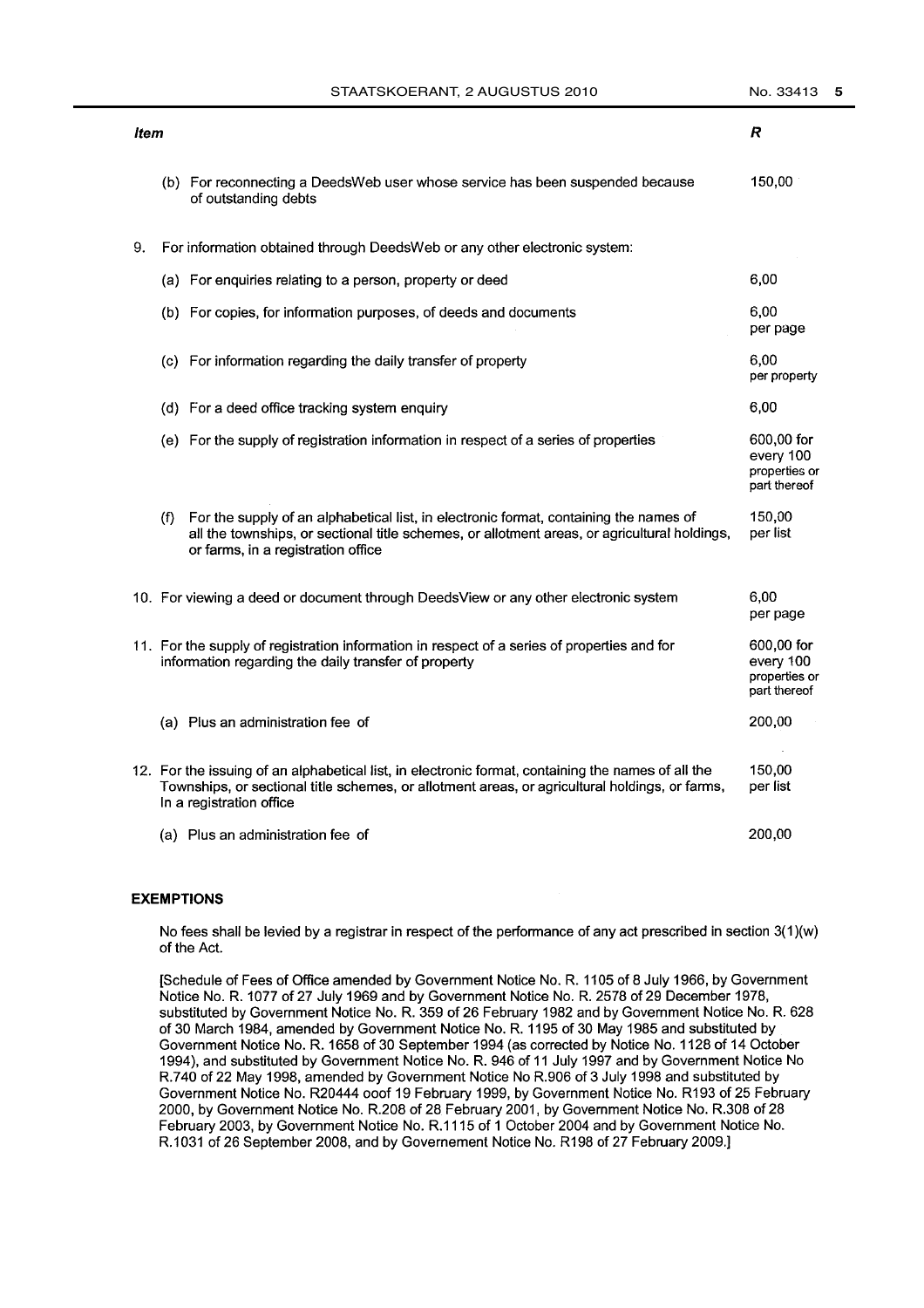| STAATSKOERANT, 2 AUGUSTUS 2010 |
|--------------------------------|
|--------------------------------|

| ltem |     |                                                                                                                                                                                                                                  | R                                                        |
|------|-----|----------------------------------------------------------------------------------------------------------------------------------------------------------------------------------------------------------------------------------|----------------------------------------------------------|
|      |     | (b) For reconnecting a DeedsWeb user whose service has been suspended because<br>of outstanding debts                                                                                                                            | 150,00                                                   |
| 9.   |     | For information obtained through DeedsWeb or any other electronic system:                                                                                                                                                        |                                                          |
|      |     | (a) For enquiries relating to a person, property or deed                                                                                                                                                                         | 6,00                                                     |
|      |     | (b) For copies, for information purposes, of deeds and documents                                                                                                                                                                 | 6,00<br>per page                                         |
|      |     | (c) For information regarding the daily transfer of property                                                                                                                                                                     | 6,00<br>per property                                     |
|      |     | (d) For a deed office tracking system enquiry                                                                                                                                                                                    | 6,00                                                     |
|      |     | (e) For the supply of registration information in respect of a series of properties                                                                                                                                              | 600,00 for<br>every 100<br>properties or<br>part thereof |
|      | (f) | For the supply of an alphabetical list, in electronic format, containing the names of<br>all the townships, or sectional title schemes, or allotment areas, or agricultural holdings,<br>or farms, in a registration office      | 150,00<br>per list                                       |
|      |     | 10. For viewing a deed or document through DeedsView or any other electronic system                                                                                                                                              | 6.00<br>per page                                         |
|      |     | 11. For the supply of registration information in respect of a series of properties and for<br>information regarding the daily transfer of property                                                                              | 600,00 for<br>every 100<br>properties or<br>part thereof |
|      |     | (a) Plus an administration fee of                                                                                                                                                                                                | 200,00                                                   |
|      |     | 12. For the issuing of an alphabetical list, in electronic format, containing the names of all the<br>Townships, or sectional title schemes, or allotment areas, or agricultural holdings, or farms,<br>In a registration office | 150,00<br>per list                                       |
|      |     | (a) Plus an administration fee of                                                                                                                                                                                                | 200,00                                                   |

#### **EXEMPTIONS**

No fees shall be levied by a registrar in respect of the performance of any act prescribed in section  $3(1)(w)$ of the Act.

[Schedule of Fees of Office amended by Government Notice No. R. 1105 of 8 July 1966, by Government Notice No. R. 1077 of 27 July 1969 and by Government Notice No. R. 2578 of 29 December 1978, substituted by Government Notice No. R. 359 of 26 February 1982 and by Government Notice No. R. 628 of 30 March 1984, amended by Government Notice No. R. 1195 of 30 May 1985 and substituted by Government Notice No. R. 1658 of 30 September 1994 (as corrected by Notice No. 1128 of 14 October 1994), and substituted by Government Notice No. R. 946 of 11 July 1997 and by Government Notice No R.740 of 22 May 1998, amended by Government Notice No R.906 of 3 July 1998 and substituted by Government Notice No. R20444 ooof 19 February 1999, by Government Notice No. R193 of 25 February 2000, by Government Notice No. R.208 of 28 February 2001, by Government Notice No. R.308 of 28 February 2003, by Government Notice No. R.1115 of 1 October 2004 and by Government Notice No. R.1031 of 26 September 2008, and by Governement Notice No. R198 of 27 February 2009.]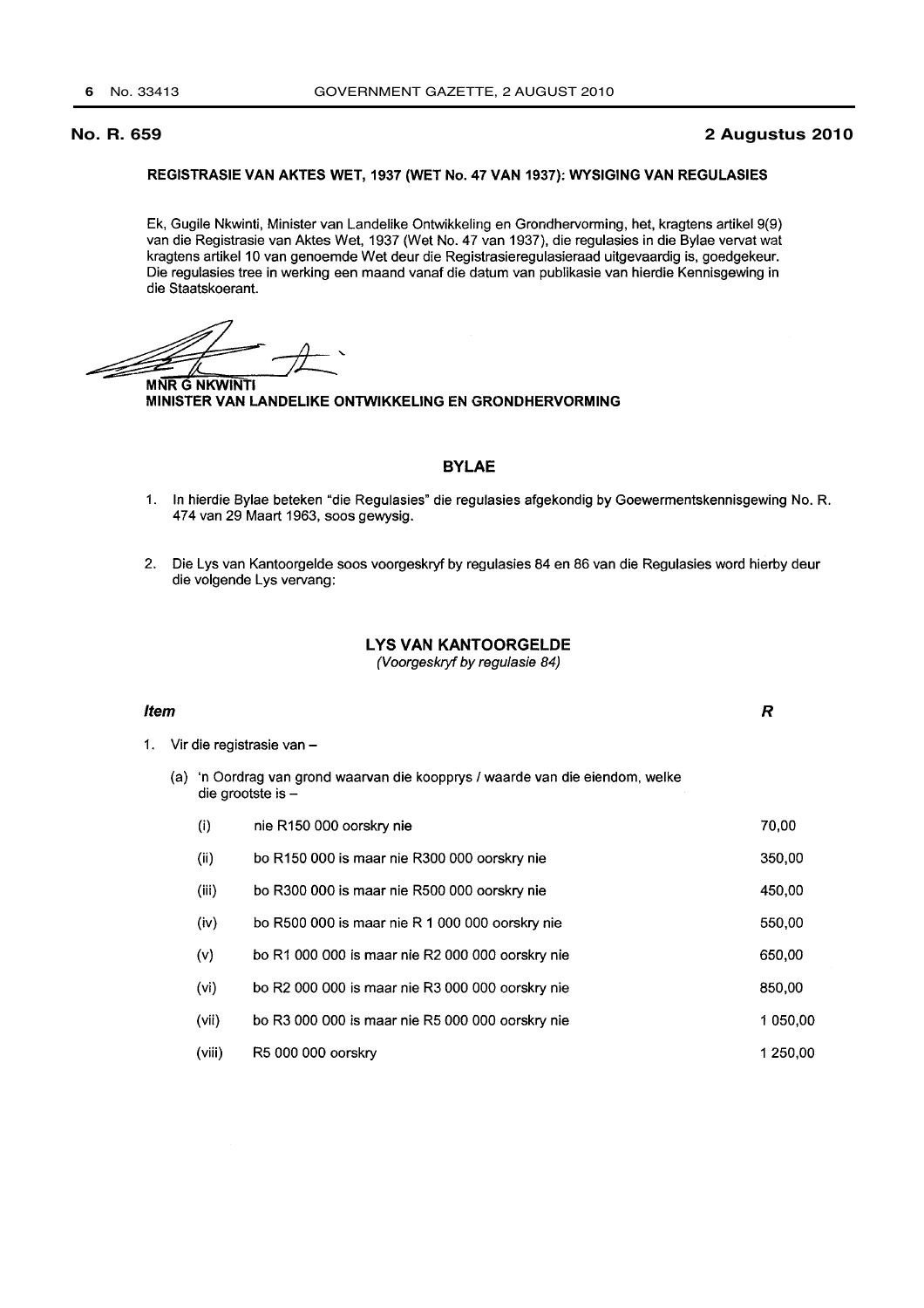#### **No. R. 659 2 Augustus 2010**

#### REGISTRASIE VAN AKTES WET, 1937 (WET No. 47 VAN 1937): WYSIGING VAN REGULASIES

Ek, Gugile Nkwinti, Minister van Landelike Ontwikkeling en Grondhervorming, het, kragtens artikel 9(9) van die Registrasie van Aktes Wet, 1937 (Wet No. 47 van 1937), die regulasies in die Bylae vervat wat kragtens artikel 10 van genoemde Wet deur die Registrasieregulasieraad uitgevaardig is, goedgekeur. Die regulasies tree in werking een maand vanaf die datum van publikasie van hierdie Kennisgewing in die Staatskoerant.

**MNR G NKWINTI** MINISTER VAN LANDELIKE ONTWIKKELING EN GRONDHERVORMING

#### **BYLAE**

- 1. In hierdie Bylae beteken "die Regulasies" die regulasies afgekondig by Goewermentskennisgewing No. R. 474 van 29 Maart 1963, soos gewysig.
- 2. Die Lys van Kantoorgelde soos voorgeskryf by regulasies 84 en 86 van die Regulasies word hierby deur die volgende Lys vervang:

### **LYS VAN KANTOORGELDE**

(Voorgeskryf by regulasie 84)

#### **Item**

 $\overline{R}$ 

1. Vir die registrasie van -

(a) 'n Oordrag van grond waarvan die koopprys / waarde van die eiendom, welke die grootste is -

| (i)    | nie R150 000 oorskry nie                         | 70,00    |
|--------|--------------------------------------------------|----------|
| (ii)   | bo R150 000 is maar nie R300 000 oorskry nie     | 350,00   |
| (iii)  | bo R300 000 is maar nie R500 000 oorskry nie     | 450,00   |
| (iv)   | bo R500 000 is maar nie R 1 000 000 oorskry nie  | 550,00   |
| (v)    | bo R1 000 000 is maar nie R2 000 000 oorskry nie | 650,00   |
| (vi)   | bo R2 000 000 is maar nie R3 000 000 oorskry nie | 850,00   |
| (vii)  | bo R3 000 000 is maar nie R5 000 000 oorskry nie | 1 050,00 |
| (viii) | R5 000 000 oorskry                               | 1 250,00 |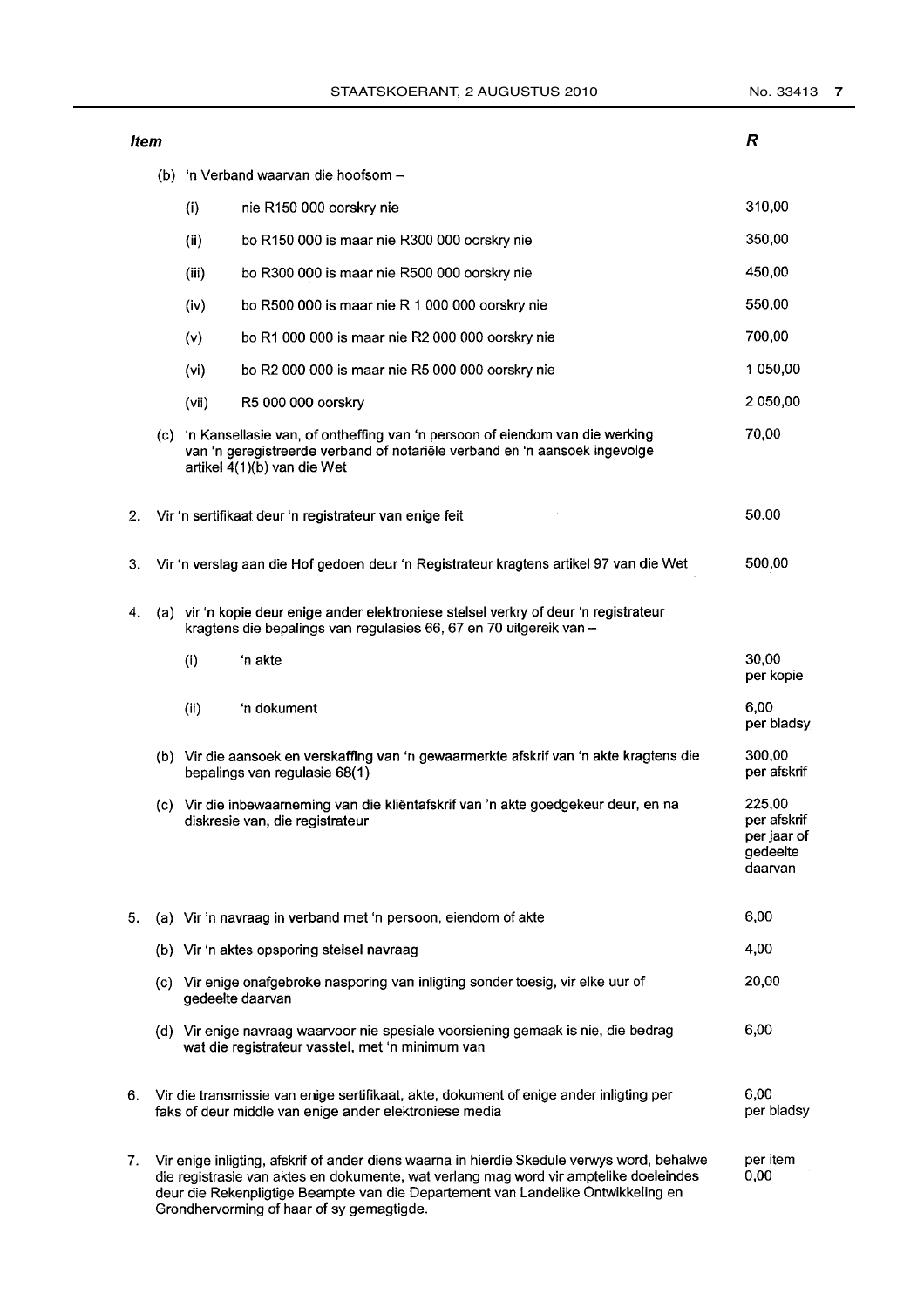**Item** 

 $\overline{R}$ 

|    |     | (b) 'n Verband waarvan die hoofsom -                                                                                                                                                                                                                                                        |                                                                                                                                                                                          |                                                             |  |  |
|----|-----|---------------------------------------------------------------------------------------------------------------------------------------------------------------------------------------------------------------------------------------------------------------------------------------------|------------------------------------------------------------------------------------------------------------------------------------------------------------------------------------------|-------------------------------------------------------------|--|--|
|    |     | (i)                                                                                                                                                                                                                                                                                         | nie R150 000 oorskry nie                                                                                                                                                                 | 310,00                                                      |  |  |
|    |     | (ii)                                                                                                                                                                                                                                                                                        | bo R150 000 is maar nie R300 000 oorskry nie                                                                                                                                             | 350,00                                                      |  |  |
|    |     | (iii)                                                                                                                                                                                                                                                                                       | bo R300 000 is maar nie R500 000 oorskry nie                                                                                                                                             | 450,00                                                      |  |  |
|    |     | (iv)                                                                                                                                                                                                                                                                                        | bo R500 000 is maar nie R 1 000 000 oorskry nie                                                                                                                                          | 550,00                                                      |  |  |
|    |     | (v)                                                                                                                                                                                                                                                                                         | bo R1 000 000 is maar nie R2 000 000 oorskry nie                                                                                                                                         | 700,00                                                      |  |  |
|    |     | (vi)                                                                                                                                                                                                                                                                                        | bo R2 000 000 is maar nie R5 000 000 oorskry nie                                                                                                                                         | 1 050,00                                                    |  |  |
|    |     | (vii)                                                                                                                                                                                                                                                                                       | R5 000 000 oorskry                                                                                                                                                                       | 2 050,00                                                    |  |  |
|    | (c) |                                                                                                                                                                                                                                                                                             | 'n Kansellasie van, of ontheffing van 'n persoon of eiendom van die werking<br>van 'n geregistreerde verband of notariële verband en 'n aansoek ingevolge<br>artikel 4(1)(b) van die Wet | 70,00                                                       |  |  |
| 2. |     |                                                                                                                                                                                                                                                                                             | Vir 'n sertifikaat deur 'n registrateur van enige feit                                                                                                                                   | 50,00                                                       |  |  |
| 3. |     |                                                                                                                                                                                                                                                                                             | Vir 'n verslag aan die Hof gedoen deur 'n Registrateur kragtens artikel 97 van die Wet                                                                                                   | 500,00                                                      |  |  |
| 4. |     |                                                                                                                                                                                                                                                                                             | (a) vir 'n kopie deur enige ander elektroniese stelsel verkry of deur 'n registrateur<br>kragtens die bepalings van regulasies 66, 67 en 70 uitgereik van -                              |                                                             |  |  |
|    |     | (i)                                                                                                                                                                                                                                                                                         | 'n akte                                                                                                                                                                                  | 30,00<br>per kopie                                          |  |  |
|    |     | (ii)                                                                                                                                                                                                                                                                                        | 'n dokument                                                                                                                                                                              | 6,00<br>per bladsy                                          |  |  |
|    |     |                                                                                                                                                                                                                                                                                             | (b) Vir die aansoek en verskaffing van 'n gewaarmerkte afskrif van 'n akte kragtens die<br>bepalings van regulasie 68(1)                                                                 | 300,00<br>per afskrif                                       |  |  |
|    |     |                                                                                                                                                                                                                                                                                             | (c) Vir die inbewaarneming van die kliëntafskrif van 'n akte goedgekeur deur, en na<br>diskresie van, die registrateur                                                                   | 225,00<br>per afskrif<br>per jaar of<br>gedeelte<br>daarvan |  |  |
| 5. |     |                                                                                                                                                                                                                                                                                             | (a) Vir 'n navraag in verband met 'n persoon, eiendom of akte                                                                                                                            | 6,00                                                        |  |  |
|    |     |                                                                                                                                                                                                                                                                                             | (b) Vir 'n aktes opsporing stelsel navraag                                                                                                                                               | 4,00                                                        |  |  |
|    |     |                                                                                                                                                                                                                                                                                             | (c) Vir enige onafgebroke nasporing van inligting sonder toesig, vir elke uur of<br>gedeelte daarvan                                                                                     | 20,00                                                       |  |  |
|    |     |                                                                                                                                                                                                                                                                                             | (d) Vir enige navraag waarvoor nie spesiale voorsiening gemaak is nie, die bedrag<br>wat die registrateur vasstel, met 'n minimum van                                                    | 6,00                                                        |  |  |
| 6. |     |                                                                                                                                                                                                                                                                                             | Vir die transmissie van enige sertifikaat, akte, dokument of enige ander inligting per<br>faks of deur middle van enige ander elektroniese media                                         | 6,00<br>per bladsy                                          |  |  |
| 7. |     | per item<br>Vir enige inligting, afskrif of ander diens waarna in hierdie Skedule verwys word, behalwe<br>die registrasie van aktes en dokumente, wat verlang mag word vir amptelike doeleindes<br>0,00<br>deur die Rekenpligtige Beampte van die Departement van Landelike Ontwikkeling en |                                                                                                                                                                                          |                                                             |  |  |

Grondhervorming of haar of sy gemagtigde.